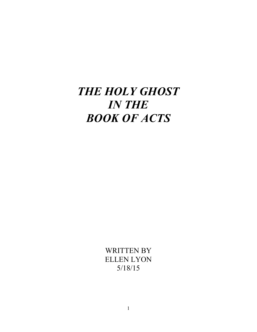# *THE HOLY GHOST IN THE BOOK OF ACTS*

WRITTEN BY ELLEN LYON 5/18/15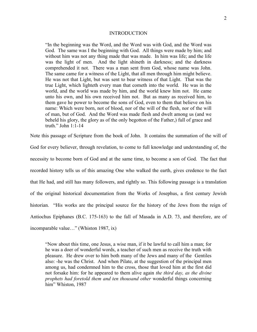#### INTRODUCTION

"In the beginning was the Word, and the Word was with God, and the Word was God. The same was I the beginning with God. All things were made by him; and without him was not any thing made that was made. In him was life; and the life was the light of men. And the light shineth in darkness; and the darkness comprehended it not. There was a man sent from God, whose name was John. The same came for a witness of the Light, that all men through him might believe. He was not that Light, but was sent to bear witness of that Light. That was the true Light, which lighteth every man that cometh into the world. He was in the world, and the world was made by him, and the world knew him not. He came unto his own, and his own received him not. But as many as received him, to them gave he power to become the sons of God, even to them that believe on his name: Which were born, not of blood, nor of the will of the flesh, nor of the will of man, but of God. And the Word was made flesh and dwelt among us (and we beheld his glory, the glory as of the only begotton of the Father,) full of grace and truth." John 1:1-14

Note this passage of Scripture from the book of John. It contains the summation of the will of

God for every believer, through revelation, to come to full knowledge and understanding of, the necessity to become born of God and at the same time, to become a son of God. The fact that recorded history tells us of this amazing One who walked the earth, gives credence to the fact that He had, and still has many followers, and rightly so. This following passage is a translation of the original historical documentation from the Works of Josephus, a first century Jewish historian. "His works are the principal source for the history of the Jews from the reign of Antiochus Epiphanes (B.C. 175-163) to the fall of Masada in A.D. 73, and therefore, are of incomparable value…" (Whiston 1987, ix)

"Now about this time, one Jesus, a wise man, if it be lawful to call him a man; for he was a doer of wonderful words, a teacher of such men as receive the truth with pleasure. He drew over to him both many of the Jews and many of the Gentiles also: -he was the Christ. And when Pilate, at the suggestion of the principal men among us, had condemned him to the cross, those that loved him at the first did not forsake him: for he appeared to them alive again *the third day, as the divine prophets had foretold them and ten thousand other* wonderful things concerning him" Whiston, 1987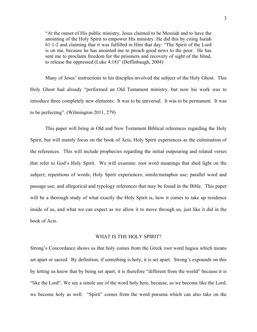"At the outset of His public ministry, Jesus claimed to be Messiah and to have the anointing of the Holy Spirit to empower His ministry. He did this by citing Isaiah 61:1-2 and claiming that it was fulfilled in Him that day: "The Spirit of the Lord is on me, because he has anointed me to preach good news to the poor. He has sent me to proclaim freedom for the prisoners and recovery of sight of the blind, to release the oppressed (Luke 4:18)" (Deffinbaugh, 2004)

Many of Jesus' instructions to his disciples involved the subject of the Holy Ghost. This Holy Ghost had already "performed an Old Testament ministry, but now his work was to introduce three completely new elements: It was to be universal. It was to be permanent. It was to be perfecting". (Wilmington 2011, 279)

This paper will bring in Old and New Testament Biblical references regarding the Holy Spirit, but will mainly focus on the book of Acts, Holy Spirit experiences as the culmination of the references. This will include prophecies regarding the initial outpouring and related verses that refer to God's Holy Spirit. We will examine: root word meanings that shed light on the subject; repetitions of words; Holy Spirit experiences; simile/metaphor use; parallel word and passage use; and allegorical and typology references that may be found in the Bible. This paper will be a thorough study of what exactly the Holy Spirit is, how it comes to take up residence inside of us, and what we can expect as we allow it to move through us, just like it did in the book of Acts.

#### WHAT IS THE HOLY SPIRIT?

Strong's Concordance shows us that holy comes from the Greek root word hagios which means set apart or sacred. By definition, if something is holy, it is set apart. Strong's expounds on this by letting us know that by being set apart, it is therefore "different from the world" because it is "like the Lord". We see a simile use of the word holy here, because, as we become like the Lord, we become holy as well. "Spirit" comes from the word pneuma which can also take on the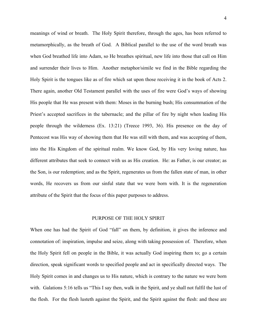meanings of wind or breath. The Holy Spirit therefore, through the ages, has been referred to metamorphically, as the breath of God. A Biblical parallel to the use of the word breath was when God breathed life into Adam, so He breathes spiritual, new life into those that call on Him and surrender their lives to Him. Another metaphor/simile we find in the Bible regarding the Holy Spirit is the tongues like as of fire which sat upon those receiving it in the book of Acts 2. There again, another Old Testament parallel with the uses of fire were God's ways of showing His people that He was present with them: Moses in the burning bush; His consummation of the Priest's accepted sacrifices in the tabernacle; and the pillar of fire by night when leading His people through the wilderness (Ex. 13:21) (Treece 1993, 36). His presence on the day of Pentecost was His way of showing them that He was still with them, and was accepting of them, into the His Kingdom of the spiritual realm. We know God, by His very loving nature, has different attributes that seek to connect with us as His creation. He: as Father, is our creator; as the Son, is our redemption; and as the Spirit, regenerates us from the fallen state of man, in other words, He recovers us from our sinful state that we were born with. It is the regeneration attribute of the Spirit that the focus of this paper purposes to address.

#### PURPOSE OF THE HOLY SPIRIT

When one has had the Spirit of God "fall" on them, by definition, it gives the inference and connotation of: inspiration, impulse and seize, along with taking possession of. Therefore, when the Holy Spirit fell on people in the Bible, it was actually God inspiring them to; go a certain direction, speak significant words to specified people and act in specifically directed ways. The Holy Spirit comes in and changes us to His nature, which is contrary to the nature we were born with. Galations 5:16 tells us "This I say then, walk in the Spirit, and ye shall not fulfil the lust of the flesh. For the flesh lusteth against the Spirit, and the Spirit against the flesh: and these are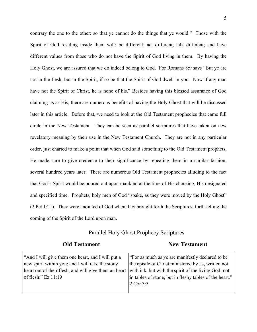contrary the one to the other: so that ye cannot do the things that ye would." Those with the Spirit of God residing inside them will: be different; act different; talk different; and have different values from those who do not have the Spirit of God living in them. By having the Holy Ghost, we are assured that we do indeed belong to God. For Romans 8:9 says "But ye are not in the flesh, but in the Spirit, if so be that the Spirit of God dwell in you. Now if any man have not the Spirit of Christ, he is none of his." Besides having this blessed assurance of God claiming us as His, there are numerous benefits of having the Holy Ghost that will be discussed later in this article. Before that, we need to look at the Old Testament prophecies that came full circle in the New Testament. They can be seen as parallel scriptures that have taken on new revelatory meaning by their use in the New Testament Church. They are not in any particular order, just charted to make a point that when God said something to the Old Testament prophets, He made sure to give credence to their significance by repeating them in a similar fashion, several hundred years later. There are numerous Old Testament prophecies alluding to the fact that God's Spirit would be poured out upon mankind at the time of His choosing, His designated and specified time. Prophets, holy men of God "spake, as they were moved by the Holy Ghost" (2 Pet 1:21). They were anointed of God when they brought forth the Scriptures, forth-telling the coming of the Spirit of the Lord upon man.

### Parallel Holy Ghost Prophecy Scriptures

### **Old Testament New Testament**

| "And I will give them one heart, and I will put a     | "For as much as ye are manifestly declared to be        |
|-------------------------------------------------------|---------------------------------------------------------|
| new spirit within you; and I will take the stony      | the epistle of Christ ministered by us, written not     |
| heart out of their flesh, and will give them an heart | with ink, but with the spirit of the living God; not    |
| of flesh:" $Ez$ 11:19                                 | in tables of stone, but in fleshy tables of the heart." |
|                                                       | 2 Cor 3:3                                               |
|                                                       |                                                         |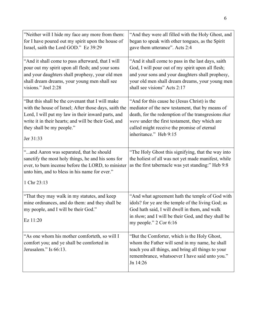| "Neither will I hide my face any more from them:                                                                                                                                                                     | "And they were all filled with the Holy Ghost, and                                                                                                                                                                                        |
|----------------------------------------------------------------------------------------------------------------------------------------------------------------------------------------------------------------------|-------------------------------------------------------------------------------------------------------------------------------------------------------------------------------------------------------------------------------------------|
| for I have poured out my spirit upon the house of                                                                                                                                                                    | began to speak with other tongues, as the Spirit                                                                                                                                                                                          |
| Israel, saith the Lord GOD." Ez 39:29                                                                                                                                                                                | gave them utterance". Acts 2:4                                                                                                                                                                                                            |
| "And it shall come to pass afterward, that I will                                                                                                                                                                    | "And it shall come to pass in the last days, saith                                                                                                                                                                                        |
| pour out my spirit upon all flesh; and your sons                                                                                                                                                                     | God, I will pour out of my spirit upon all flesh;                                                                                                                                                                                         |
| and your daughters shall prophesy, your old men                                                                                                                                                                      | and your sons and your daughters shall prophesy,                                                                                                                                                                                          |
| shall dream dreams, your young men shall see                                                                                                                                                                         | your old men shall dream dreams, your young men                                                                                                                                                                                           |
| visions." Joel 2:28                                                                                                                                                                                                  | shall see visions" Acts 2:17                                                                                                                                                                                                              |
| "But this shall be the covenant that I will make"                                                                                                                                                                    | "And for this cause he (Jesus Christ) is the                                                                                                                                                                                              |
| with the house of Israel; After those days, saith the                                                                                                                                                                | mediator of the new testament, that by means of                                                                                                                                                                                           |
| Lord, I will put my law in their inward parts, and                                                                                                                                                                   | death, for the redemption of the transgresions that                                                                                                                                                                                       |
| write it in their hearts; and will be their God, and                                                                                                                                                                 | were under the first testament, they which are                                                                                                                                                                                            |
| they shall be my people."                                                                                                                                                                                            | called might receive the promise of eternal                                                                                                                                                                                               |
| Jer 31:33                                                                                                                                                                                                            | inheritance." Heb 9:15                                                                                                                                                                                                                    |
| "and Aaron was separated, that he should<br>sanctify the most holy things, he and his sons for<br>ever, to burn incense before the LORD, to minister<br>unto him, and to bless in his name for ever."<br>1 Chr 23:13 | "The Holy Ghost this signifying, that the way into<br>the holiest of all was not yet made manifest, while<br>as the first tabernacle was yet standing:" Heb 9:8                                                                           |
| "That they may walk in my statutes, and keep<br>mine ordinances, and do them: and they shall be<br>my people, and I will be their God."<br>Ez 11:20                                                                  | "And what agreement hath the temple of God with<br>idols? for ye are the temple of the living God; as<br>God hath said, I will dwell in them, and walk<br>in them; and I will be their God, and they shall be<br>my people." $2$ Cor 6:16 |
| "As one whom his mother comforteth, so will I<br>comfort you; and ye shall be comforted in<br>Jerusalem." Is 66:13.                                                                                                  | "But the Comforter, which is the Holy Ghost,<br>whom the Father will send in my name, he shall<br>teach you all things, and bring all things to your<br>remembrance, whatsoever I have said unto you."<br>Jn 14:26                        |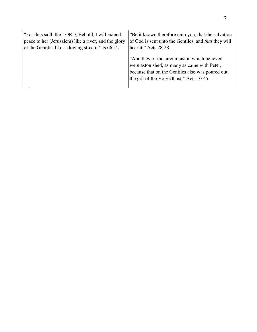| "For thus saith the LORD, Behold, I will extend      | "Be it known therefore unto you, that the salvation                                                                                                                                         |
|------------------------------------------------------|---------------------------------------------------------------------------------------------------------------------------------------------------------------------------------------------|
| peace to her (Jerusalem) like a river, and the glory | of God is sent unto the Gentiles, and <i>that</i> they will                                                                                                                                 |
| of the Gentiles like a flowing stream:" Is 66:12     | hear it." Acts 28:28                                                                                                                                                                        |
|                                                      | "And they of the circumcision which believed<br>were astonished, as many as came with Peter,<br>because that on the Gentiles also was poured out<br>the gift of the Holy Ghost." Acts 10:45 |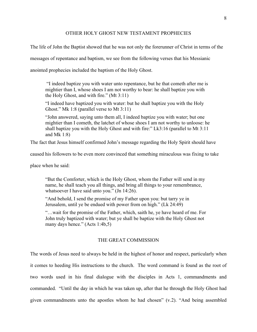#### OTHER HOLY GHOST NEW TESTAMENT PROPHECIES

The life of John the Baptist showed that he was not only the forerunner of Christ in terms of the

messages of repentance and baptism, we see from the following verses that his Messianic

anointed prophecies included the baptism of the Holy Ghost.

"I indeed baptize you with water unto repentance, but he that cometh after me is mightier than I, whose shoes I am not worthy to bear: he shall baptize you with the Holy Ghost, and with fire." (Mt 3:11)

"I indeed have baptized you with water: but he shall baptize you with the Holy Ghost." Mk 1:8 (parallel verse to Mt 3:11)

"John answered, saying unto them all, I indeed baptize you with water; but one mightier than I cometh, the latchet of whose shoes I am not worthy to unloose: he shall baptize you with the Holy Ghost and with fire:" Lk3:16 (parallel to Mt 3:11 and Mk 1:8)

The fact that Jesus himself confirmed John's message regarding the Holy Spirit should have

caused his followers to be even more convinced that something miraculous was fixing to take

place when he said:

"But the Comforter, which is the Holy Ghost, whom the Father will send in my name, he shall teach you all things, and bring all things to your remembrance, whatsoever I have said unto you." (Jn 14:26).

"And behold, I send the promise of my Father upon you: but tarry ye in Jerusalem, until ye be endued with power from on high." (Lk 24:49)

"…wait for the promise of the Father, which, saith he, ye have heard of me. For John truly baptized with water; but ye shall be baptize with the Holy Ghost not many days hence." (Acts 1:4b,5)

#### THE GREAT COMMISSION

The words of Jesus need to always be held in the highest of honor and respect, particularly when it comes to heeding His instructions to the church. The word command is found as the root of two words used in his final dialogue with the disciples in Acts 1, commandments and commanded. "Until the day in which he was taken up, after that he through the Holy Ghost had given commandments unto the apostles whom he had chosen" (v.2). "And being assembled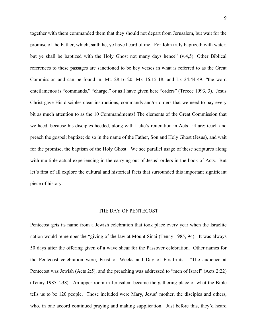together with them commanded them that they should not depart from Jerusalem, but wait for the promise of the Father, which, saith he, ye have heard of me. For John truly baptizeth with water; but ye shall be baptized with the Holy Ghost not many days hence" (v.4,5). Other Biblical references to these passages are sanctioned to be key verses in what is referred to as the Great Commission and can be found in: Mt. 28:16-20; Mk 16:15-18; and Lk 24:44-49. "the word enteilamenos is "commands," "charge," or as I have given here "orders" (Treece 1993, 3). Jesus Christ gave His disciples clear instructions, commands and/or orders that we need to pay every bit as much attention to as the 10 Commandments! The elements of the Great Commission that we heed, because his disciples heeded, along with Luke's reiteration in Acts 1:4 are: teach and preach the gospel; baptize; do so in the name of the Father, Son and Holy Ghost (Jesus), and wait for the promise, the baptism of the Holy Ghost. We see parallel usage of these scriptures along with multiple actual experiencing in the carrying out of Jesus' orders in the book of Acts. But let's first of all explore the cultural and historical facts that surrounded this important significant piece of history.

#### THE DAY OF PENTECOST

Pentecost gets its name from a Jewish celebration that took place every year when the Israelite nation would remember the "giving of the law at Mount Sinai (Tenny 1985, 94). It was always 50 days after the offering given of a wave sheaf for the Passover celebration. Other names for the Pentecost celebration were; Feast of Weeks and Day of Firstfruits. "The audience at Pentecost was Jewish (Acts 2:5), and the preaching was addressed to "men of Israel" (Acts 2:22) (Tenny 1985, 238). An upper room in Jerusalem became the gathering place of what the Bible tells us to be 120 people. Those included were Mary, Jesus' mother, the disciples and others, who, in one accord continued praying and making supplication. Just before this, they'd heard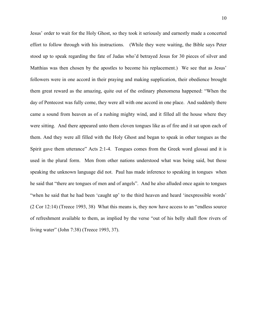Jesus' order to wait for the Holy Ghost, so they took it seriously and earnestly made a concerted effort to follow through with his instructions. (While they were waiting, the Bible says Peter stood up to speak regarding the fate of Judas who'd betrayed Jesus for 30 pieces of silver and Matthias was then chosen by the apostles to become his replacement.) We see that as Jesus' followers were in one accord in their praying and making supplication, their obedience brought them great reward as the amazing, quite out of the ordinary phenomena happened: "When the day of Pentecost was fully come, they were all with one accord in one place. And suddenly there came a sound from heaven as of a rushing mighty wind, and it filled all the house where they were sitting. And there appeared unto them cloven tongues like as of fire and it sat upon each of them. And they were all filled with the Holy Ghost and began to speak in other tongues as the Spirit gave them utterance" Acts 2:1-4. Tongues comes from the Greek word glossai and it is used in the plural form. Men from other nations understood what was being said, but those speaking the unknown language did not. Paul has made inference to speaking in tongues when he said that "there are tongues of men and of angels". And he also alluded once again to tongues "when he said that he had been 'caught up' to the third heaven and heard 'inexpressible words' (2 Cor 12:14) (Treece 1993, 38) What this means is, they now have access to an "endless source of refreshment available to them, as implied by the verse "out of his belly shall flow rivers of living water" (John 7:38) (Treece 1993, 37).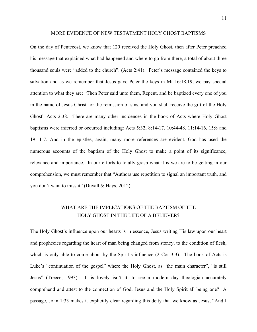#### MORE EVIDENCE OF NEW TESTATMENT HOLY GHOST BAPTISMS

On the day of Pentecost, we know that 120 received the Holy Ghost, then after Peter preached his message that explained what had happened and where to go from there, a total of about three thousand souls were "added to the church". (Acts 2:41). Peter's message contained the keys to salvation and as we remember that Jesus gave Peter the keys in Mt 16:18,19, we pay special attention to what they are: "Then Peter said unto them, Repent, and be baptized every one of you in the name of Jesus Christ for the remission of sins, and you shall receive the gift of the Holy Ghost" Acts 2:38. There are many other incidences in the book of Acts where Holy Ghost baptisms were inferred or occurred including: Acts 5:32, 8:14-17, 10:44-48, 11:14-16, 15:8 and 19: 1-7. And in the epistles, again, many more references are evident. God has used the numerous accounts of the baptism of the Holy Ghost to make a point of its significance, relevance and importance. In our efforts to totally grasp what it is we are to be getting in our comprehension, we must remember that "Authors use repetition to signal an important truth, and you don't want to miss it" (Duvall & Hays, 2012).

## WHAT ARE THE IMPLICATIONS OF THE BAPTISM OF THE HOLY GHOST IN THE LIFE OF A BELIEVER?

The Holy Ghost's influence upon our hearts is in essence, Jesus writing His law upon our heart and prophecies regarding the heart of man being changed from stoney, to the condition of flesh, which is only able to come about by the Spirit's influence (2 Cor 3:3). The book of Acts is Luke's "continuation of the gospel" where the Holy Ghost, as "the main character", "is still Jesus" (Treece, 1993). It is lovely isn't it, to see a modern day theologian accurately comprehend and attest to the connection of God, Jesus and the Holy Spirit all being one? A passage, John 1:33 makes it explicitly clear regarding this deity that we know as Jesus, "And I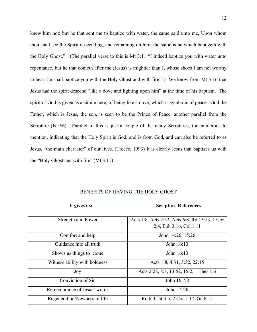knew him not: but he that sent me to baptize with water, the same said unto me, Upon whom thou shalt see the Spirit descending, and remaining on him, the same is he which baptizeth with the Holy Ghost.". (The parallel verse to this is Mt 3:11 "I indeed baptize you with water unto repentance, but he that cometh after me (Jesus) is mightier than I, whose shoes I am not worthy to bear: he shall baptize you with the Holy Ghost and with fire:".) We know from Mt 3:16 that Jesus had the spirit descend "like a dove and lighting upon him" at the time of his baptism. The spirit of God is given as a simile here, of being like a dove, which is symbolic of peace. God the Father, which is Jesus, the son, is seen to be the Prince of Peace, another parallel from the Scripture (Is 9:6). Parallel to this is just a couple of the many Scriptures, too numerous to mention, indicating that the Holy Spirit is God, and is from God, and can also be referred to as Jesus, "the main character" of our lives. (Treece, 1993) It is clearly Jesus that baptizes us with the "Holy Ghost and with fire" (Mt 3:11)!

#### BENEFITS OF HAVING THE HOLY GHOST

#### **It gives us: Scripture References**

| Strength and Power            | Acts 1:8, Acts 2:33, Acts 6:8, Ro 15:13, 1 Cor |
|-------------------------------|------------------------------------------------|
|                               | 2:4, Eph $3:16$ , Col $1:11$                   |
| Comfort and help              | John 14:26, 15:26                              |
| Guidance into all truth       | John 16:13                                     |
| Shows us things to come       | John 16:13                                     |
| Witness ability with boldness | Acts 1:8, 4:31, 5:32, 22:15                    |
| Joy                           | Acts 2:28, 8:8, 13:52, 15:2, 1 Thes 1:6        |
| Conviction of Sin             | John 16:7,8                                    |
| Remembrance of Jesus' words   | John 14:26                                     |
| Regeneration/Newness of life  | Ro 6:4, Tit 3:5, 2 Cor 5:17, Ga 6:15           |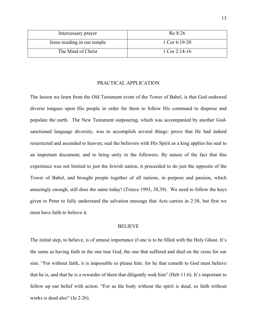| Intercessary prayer          | Ro 8:26       |
|------------------------------|---------------|
| Jesus residing in our temple | 1 Cor 6:19-20 |
| The Mind of Christ           | 1 Cor 2:14-16 |

#### PRACTICAL APPLICATION

The lesson we learn from the Old Testament event of the Tower of Babel, is that God endowed diverse tongues upon His people in order for them to follow His command to disperse and populate the earth. The New Testament outpouring, which was accompanied by another Godsanctioned language diversity, was to accomplish several things: prove that He had indeed resurrected and ascended to heaven; seal the believers with His Spirit as a king applies his seal to an important document; and to bring unity to the followers. By nature of the fact that this experience was not limited to just the Jewish nation, it proceeded to do just the opposite of the Tower of Babel, and brought people together of all nations, in purpose and passion, which amazingly enough, still does the same today! (Treece 1993, 38,39). We need to follow the keys given to Peter to fully understand the salvation message that Acts carries in 2:38, but first we must have faith to believe it.

#### BELIEVE

The initial step, to believe, is of utmost importance if one is to be filled with the Holy Ghost. It's the same as having faith in the one true God, the one that suffered and died on the cross for our sins. "For without faith, it is impossible to please him: for he that cometh to God must believe that he is, and that he is a rewarder of them that diligently seek him" (Heb 11:6). It's important to follow up our belief with action. "For as the body without the spirit is dead, so faith without works is dead also" (Ja 2:26).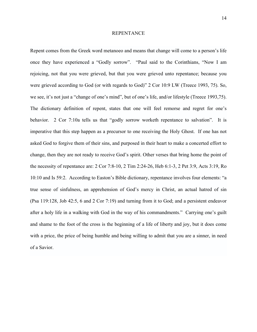#### REPENTANCE

Repent comes from the Greek word metanoeo and means that change will come to a person's life once they have experienced a "Godly sorrow". "Paul said to the Corinthians, "Now I am rejoicing, not that you were grieved, but that you were grieved unto repentance; because you were grieved according to God (or with regards to God)" 2 Cor 10:9 LW (Treece 1993, 75). So, we see, it's not just a "change of one's mind", but of one's life, and/or lifestyle (Treece 1993,75). The dictionary definition of repent, states that one will feel remorse and regret for one's behavior. 2 Cor 7:10a tells us that "godly sorrow worketh repentance to salvation". It is imperative that this step happen as a precursor to one receiving the Holy Ghost. If one has not asked God to forgive them of their sins, and purposed in their heart to make a concerted effort to change, then they are not ready to receive God's spirit. Other verses that bring home the point of the necessity of repentance are: 2 Cor 7:8-10, 2 Tim 2:24-26, Heb 6:1-3, 2 Pet 3:9, Acts 3:19, Ro 10:10 and Is 59:2. According to Easton's Bible dictionary, repentance involves four elements: "a true sense of sinfulness, an apprehension of God's mercy in Christ, an actual hatred of sin (Psa 119:128, Job 42:5, 6 and 2 Cor 7:19) and turning from it to God; and a persistent endeavor after a holy life in a walking with God in the way of his commandments." Carrying one's guilt and shame to the foot of the cross is the beginning of a life of liberty and joy, but it does come with a price, the price of being humble and being willing to admit that you are a sinner, in need of a Savior.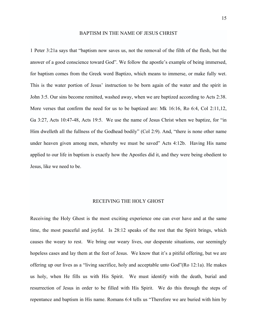#### BAPTISM IN THE NAME OF JESUS CHRIST

1 Peter 3:21a says that "baptism now saves us, not the removal of the filth of the flesh, but the answer of a good conscience toward God". We follow the apostle's example of being immersed, for baptism comes from the Greek word Baptizo, which means to immerse, or make fully wet. This is the water portion of Jesus' instruction to be born again of the water and the spirit in John 3:5. Our sins become remitted, washed away, when we are baptized according to Acts 2:38. More verses that confirm the need for us to be baptized are: Mk 16:16, Ro 6:4, Col 2:11,12, Ga 3:27, Acts 10:47-48, Acts 19:5. We use the name of Jesus Christ when we baptize, for "in Him dwelleth all the fullness of the Godhead bodily" (Col 2:9). And, "there is none other name under heaven given among men, whereby we must be saved" Acts 4:12b. Having His name applied to our life in baptism is exactly how the Apostles did it, and they were being obedient to Jesus, like we need to be.

#### RECEIVING THE HOLY GHOST

Receiving the Holy Ghost is the most exciting experience one can ever have and at the same time, the most peaceful and joyful. Is 28:12 speaks of the rest that the Spirit brings, which causes the weary to rest. We bring our weary lives, our desperate situations, our seemingly hopeless cases and lay them at the feet of Jesus. We know that it's a pitiful offering, but we are offering up our lives as a "living sacrifice, holy and acceptable unto God"(Ro 12:1a). He makes us holy, when He fills us with His Spirit. We must identify with the death, burial and resurrection of Jesus in order to be filled with His Spirit. We do this through the steps of repentance and baptism in His name. Romans 6:4 tells us "Therefore we are buried with him by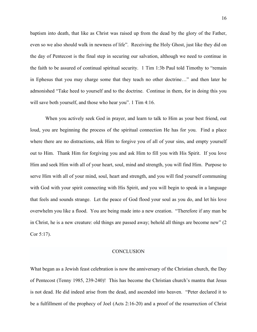baptism into death, that like as Christ was raised up from the dead by the glory of the Father, even so we also should walk in newness of life". Receiving the Holy Ghost, just like they did on the day of Pentecost is the final step in securing our salvation, although we need to continue in the faith to be assured of continual spiritual security. 1 Tim 1:3b Paul told Timothy to "remain in Ephesus that you may charge some that they teach no other doctrine…" and then later he admonished "Take heed to yourself and to the doctrine. Continue in them, for in doing this you will save both yourself, and those who hear you". 1 Tim 4:16.

When you actively seek God in prayer, and learn to talk to Him as your best friend, out loud, you are beginning the process of the spiritual connection He has for you. Find a place where there are no distractions, ask Him to forgive you of all of your sins, and empty yourself out to Him. Thank Him for forgiving you and ask Him to fill you with His Spirit. If you love Him and seek Him with all of your heart, soul, mind and strength, you will find Him. Purpose to serve Him with all of your mind, soul, heart and strength, and you will find yourself communing with God with your spirit connecting with His Spirit, and you will begin to speak in a language that feels and sounds strange. Let the peace of God flood your soul as you do, and let his love overwhelm you like a flood. You are being made into a new creation. "Therefore if any man be in Christ, he is a new creature: old things are passed away; behold all things are become new" (2 Cor 5:17).

#### **CONCLUSION**

What began as a Jewish feast celebration is now the anniversary of the Christian church, the Day of Pentecost (Tenny 1985, 239-240)! This has become the Christian church's mantra that Jesus is not dead. He did indeed arise from the dead, and ascended into heaven. "Peter declared it to be a fulfillment of the prophecy of Joel (Acts 2:16-20) and a proof of the resurrection of Christ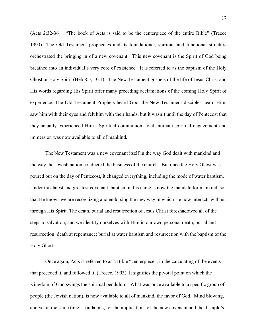(Acts 2:32-36). "The book of Acts is said to be the centerpiece of the entire Bible" (Treece 1993) The Old Testament prophecies and its foundational, spiritual and functional structure orchestrated the bringing in of a new covenant. This new covenant is the Spirit of God being breathed into an individual's very core of existence. It is referred to as the baptism of the Holy Ghost or Holy Spirit (Heb 8:5, 10:1). The New Testament gospels of the life of Jesus Christ and His words regarding His Spirit offer many preceding acclamations of the coming Holy Spirit of experience. The Old Testament Prophets heard God, the New Testament disciples heard Him, saw him with their eyes and felt him with their hands, but it wasn't until the day of Pentecost that they actually experienced Him. Spiritual communion, total intimate spiritual engagement and immersion was now available to all of mankind.

The New Testament was a new covenant itself in the way God dealt with mankind and the way the Jewish nation conducted the business of the church. But once the Holy Ghost was poured out on the day of Pentecost, it changed everything, including the mode of water baptism. Under this latest and greatest covenant, baptism in his name is now the mandate for mankind, so that He knows we are recognizing and endorsing the new way in which He now interacts with us, through His Spirit. The death, burial and resurrection of Jesus Christ foreshadowed all of the steps to salvation, and we identify ourselves with Him in our own personal death, burial and resurrection: death at repentance; burial at water baptism and resurrection with the baptism of the Holy Ghost

Once again, Acts is referred to as a Bible "centerpiece", in the calculating of the events that preceded it, and followed it. (Treece, 1993) It signifies the pivotal point on which the Kingdom of God swings the spiritual pendulum. What was once available to a specific group of people (the Jewish nation), is now available to all of mankind, the favor of God. Mind blowing, and yet at the same time, scandalous, for the implications of the new covenant and the disciple's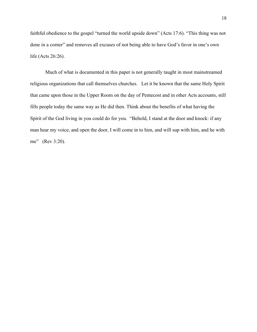faithful obedience to the gospel "turned the world upside down" (Acts 17:6). "This thing was not done in a corner" and removes all excuses of not being able to have God's favor in one's own life (Acts 26:26).

Much of what is documented in this paper is not generally taught in most mainstreamed religious organizations that call themselves churches. Let it be known that the same Holy Spirit that came upon those in the Upper Room on the day of Pentecost and in other Acts accounts, still fills people today the same way as He did then. Think about the benefits of what having the Spirit of the God living in you could do for you. "Behold, I stand at the door and knock: if any man hear my voice, and open the door, I will come in to him, and will sup with him, and he with me" (Rev 3:20).